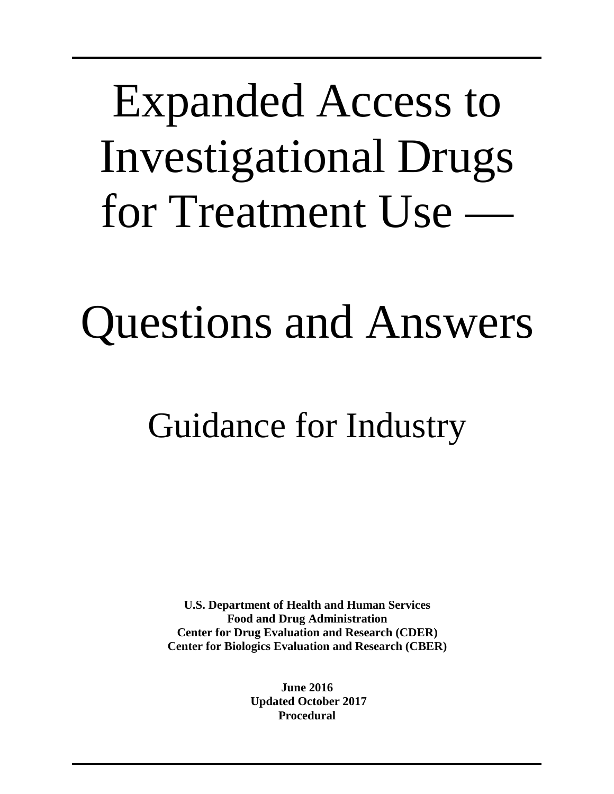Expanded Access to Investigational Drugs for Treatment Use —

# Questions and Answers

## Guidance for Industry

**U.S. Department of Health and Human Services Food and Drug Administration Center for Drug Evaluation and Research (CDER) Center for Biologics Evaluation and Research (CBER)**

> **June 2016 Updated October 2017 Procedural**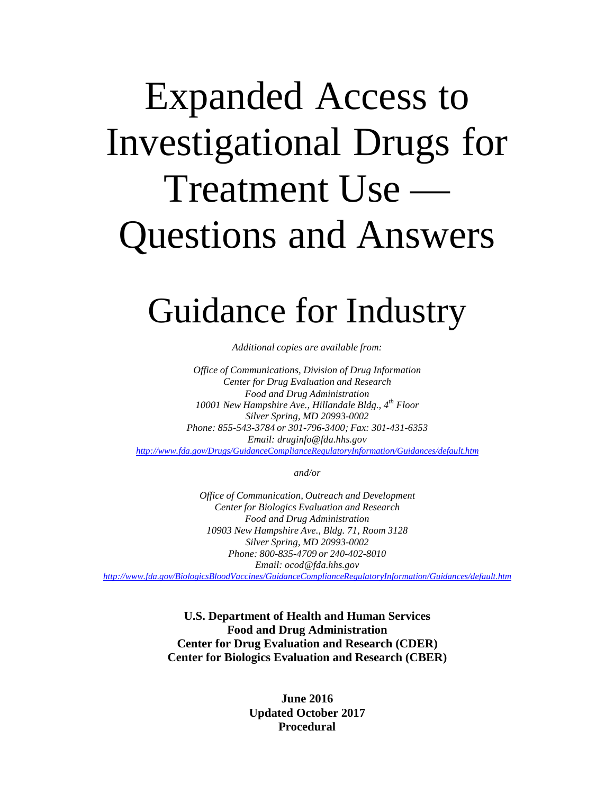## Expanded Access to Investigational Drugs for Treatment Use — Questions and Answers

### Guidance for Industry

*Additional copies are available from:*

*Office of Communications, Division of Drug Information Center for Drug Evaluation and Research Food and Drug Administration 10001 New Hampshire Ave., Hillandale Bldg., 4th Floor Silver Spring, MD 20993-0002 Phone: 855-543-3784 or 301-796-3400; Fax: 301-431-6353 Email: [druginfo@fda.hhs.gov](mailto:druginfo@fda.hhs.gov) <http://www.fda.gov/Drugs/GuidanceComplianceRegulatoryInformation/Guidances/default.htm>*

*and/or*

*Office of Communication, Outreach and Development Center for Biologics Evaluation and Research Food and Drug Administration 10903 New Hampshire Ave., Bldg. 71, Room 3128 Silver Spring, MD 20993-0002 Phone: 800-835-4709 or 240-402-8010 Email: [ocod@fda.hhs.gov](mailto:ocod@fda.hhs.gov) <http://www.fda.gov/BiologicsBloodVaccines/GuidanceComplianceRegulatoryInformation/Guidances/default.htm>*

> **U.S. Department of Health and Human Services Food and Drug Administration Center for Drug Evaluation and Research (CDER) Center for Biologics Evaluation and Research (CBER)**

> > **June 2016 Updated October 2017 Procedural**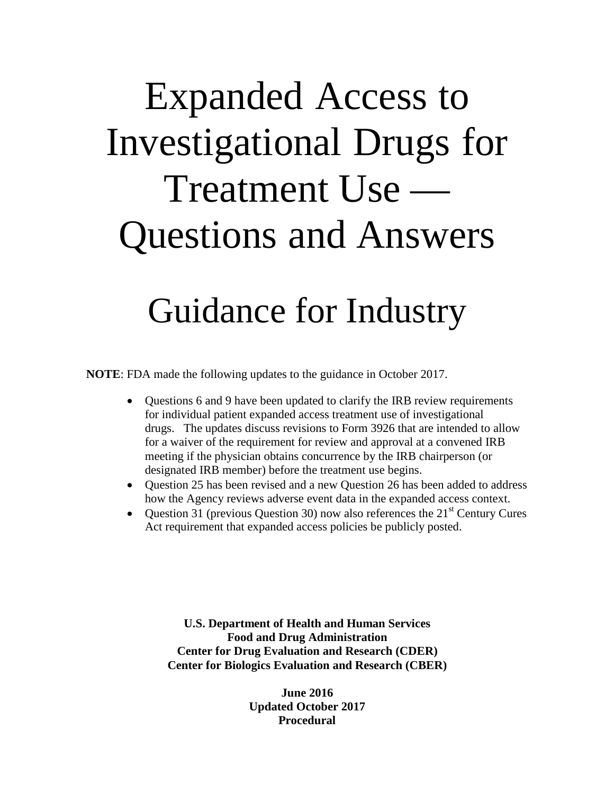## Expanded Access to Investigational Drugs for Treatment Use — Questions and Answers

### Guidance for Industry

**NOTE**: FDA made the following updates to the guidance in October 2017.

- Questions 6 and 9 have been updated to clarify the IRB review requirements for individual patient expanded access treatment use of investigational drugs. The updates discuss revisions to Form 3926 that are intended to allow for a waiver of the requirement for review and approval at a convened IRB meeting if the physician obtains concurrence by the IRB chairperson (or designated IRB member) before the treatment use begins.
- Question 25 has been revised and a new Question 26 has been added to address how the Agency reviews adverse event data in the expanded access context.
- Question 31 (previous Question 30) now also references the  $21<sup>st</sup>$  Century Cures Act requirement that expanded access policies be publicly posted.

**U.S. Department of Health and Human Services Food and Drug Administration Center for Drug Evaluation and Research (CDER) Center for Biologics Evaluation and Research (CBER)**

> **June 2016 Updated October 2017 Procedural**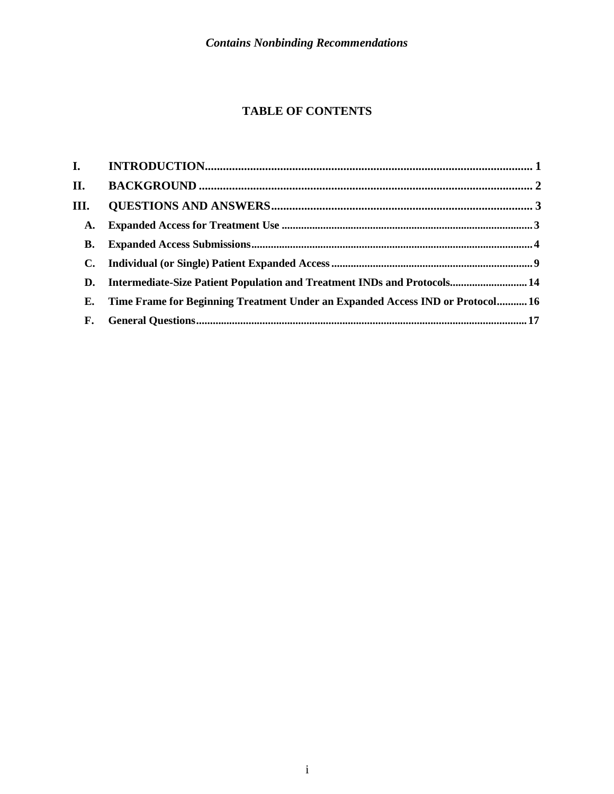#### **TABLE OF CONTENTS**

| П.             |                                                                                |  |
|----------------|--------------------------------------------------------------------------------|--|
| III.           |                                                                                |  |
| <b>A.</b>      |                                                                                |  |
| <b>B.</b>      |                                                                                |  |
| $\mathbf{C}$ . |                                                                                |  |
|                | D. Intermediate-Size Patient Population and Treatment INDs and Protocols 14    |  |
| Е.             | Time Frame for Beginning Treatment Under an Expanded Access IND or Protocol 16 |  |
| <b>F.</b>      |                                                                                |  |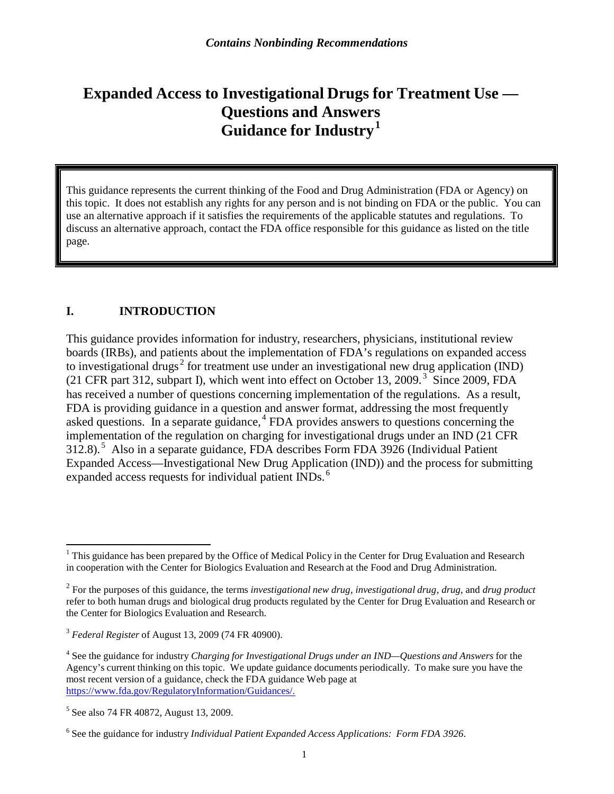### **Expanded Access to Investigational Drugs for Treatment Use — Questions and Answers Guidance for Industry [1](#page-4-0)**

This guidance represents the current thinking of the Food and Drug Administration (FDA or Agency) on this topic. It does not establish any rights for any person and is not binding on FDA or the public. You can use an alternative approach if it satisfies the requirements of the applicable statutes and regulations. To discuss an alternative approach, contact the FDA office responsible for this guidance as listed on the title page.

#### **I. INTRODUCTION**

This guidance provides information for industry, researchers, physicians, institutional review boards (IRBs), and patients about the implementation of FDA's regulations on expanded access to investigational drugs<sup>[2](#page-4-1)</sup> for treatment use under an investigational new drug application (IND) (21 CFR part 312, subpart I), which went into effect on October 13, 2009. [3](#page-4-2) Since 2009, FDA has received a number of questions concerning implementation of the regulations. As a result, FDA is providing guidance in a question and answer format, addressing the most frequently asked questions. In a separate guidance, [4](#page-4-3) FDA provides answers to questions concerning the implementation of the regulation on charging for investigational drugs under an IND (21 CFR 312.8). [5](#page-4-4) Also in a separate guidance, FDA describes Form FDA 3926 (Individual Patient Expanded Access—Investigational New Drug Application (IND)) and the process for submitting expanded access requests for individual patient INDs.<sup>[6](#page-4-5)</sup>

<span id="page-4-0"></span><sup>&</sup>lt;sup>1</sup> This guidance has been prepared by the Office of Medical Policy in the Center for Drug Evaluation and Research in cooperation with the Center for Biologics Evaluation and Research at the Food and Drug Administration.

<span id="page-4-1"></span><sup>2</sup> For the purposes of this guidance, the terms *investigational new drug, investigational drug, drug*, and *drug product*  refer to both human drugs and biological drug products regulated by the Center for Drug Evaluation and Research or the Center for Biologics Evaluation and Research.

<span id="page-4-2"></span><sup>3</sup> *Federal Register* of August 13, 2009 (74 FR 40900).

<span id="page-4-3"></span><sup>4</sup> See the guidance for industry *Charging for Investigational Drugs under an IND—Questions and Answers* for the Agency's current thinking on this topic. We update guidance documents periodically. To make sure you have the most recent version of a guidance, check the FDA guidance Web page at [https://www.fda.gov/RegulatoryInformation/Guidances/.](https://www.fda.gov/RegulatoryInformation/Guidances/)

<span id="page-4-4"></span><sup>5</sup> See also 74 FR 40872, August 13, 2009.

<span id="page-4-5"></span><sup>6</sup> See the guidance for industry *Individual Patient Expanded Access Applications: Form FDA 3926*.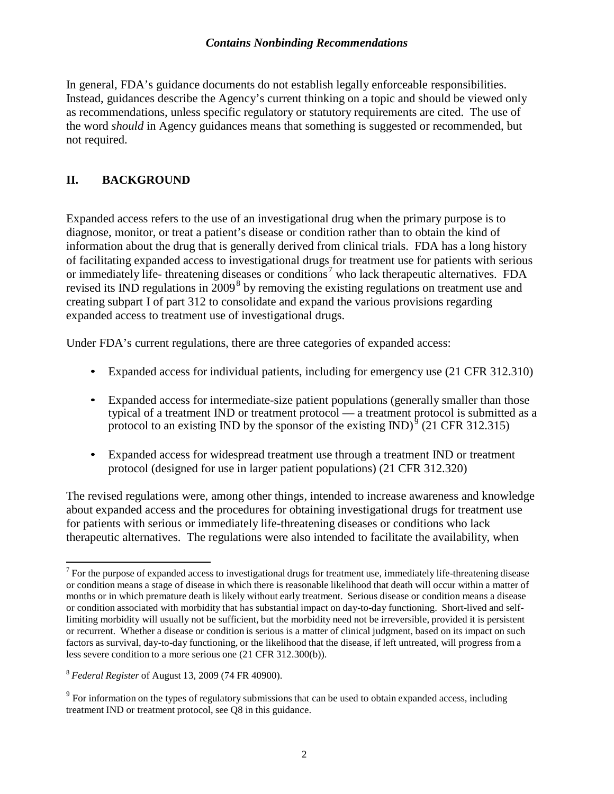In general, FDA's guidance documents do not establish legally enforceable responsibilities. Instead, guidances describe the Agency's current thinking on a topic and should be viewed only as recommendations, unless specific regulatory or statutory requirements are cited. The use of the word *should* in Agency guidances means that something is suggested or recommended, but not required.

#### **II. BACKGROUND**

Expanded access refers to the use of an investigational drug when the primary purpose is to diagnose, monitor, or treat a patient's disease or condition rather than to obtain the kind of information about the drug that is generally derived from clinical trials. FDA has a long history of facilitating expanded access to investigational drugs for treatment use for patients with serious or immediately life- threatening diseases or conditions<sup>[7](#page-5-0)</sup> who lack therapeutic alternatives. FDA revised its IND regulations in  $2009<sup>8</sup>$  $2009<sup>8</sup>$  $2009<sup>8</sup>$  by removing the existing regulations on treatment use and creating subpart I of part 312 to consolidate and expand the various provisions regarding expanded access to treatment use of investigational drugs.

Under FDA's current regulations, there are three categories of expanded access:

- Expanded access for individual patients, including for emergency use (21 CFR 312.310)
- Expanded access for intermediate-size patient populations (generally smaller than those typical of a treatment IND or treatment protocol — a treatment protocol is submitted as a protocol to an existing IND by the sponsor of the existing IND) $^{\circ}$  (21 CFR 312.315)
- Expanded access for widespread treatment use through a treatment IND or treatment protocol (designed for use in larger patient populations) (21 CFR 312.320)

The revised regulations were, among other things, intended to increase awareness and knowledge about expanded access and the procedures for obtaining investigational drugs for treatment use for patients with serious or immediately life-threatening diseases or conditions who lack therapeutic alternatives. The regulations were also intended to facilitate the availability, when

<span id="page-5-0"></span> $7$  For the purpose of expanded access to investigational drugs for treatment use, immediately life-threatening disease or condition means a stage of disease in which there is reasonable likelihood that death will occur within a matter of months or in which premature death is likely without early treatment. Serious disease or condition means a disease or condition associated with morbidity that has substantial impact on day-to-day functioning. Short-lived and selflimiting morbidity will usually not be sufficient, but the morbidity need not be irreversible, provided it is persistent or recurrent. Whether a disease or condition is serious is a matter of clinical judgment, based on its impact on such factors as survival, day-to-day functioning, or the likelihood that the disease, if left untreated, will progress from a less severe condition to a more serious one (21 CFR 312.300(b)).

<span id="page-5-1"></span><sup>8</sup> *Federal Register* of August 13, 2009 (74 FR 40900).

<span id="page-5-2"></span><sup>&</sup>lt;sup>9</sup> For information on the types of regulatory submissions that can be used to obtain expanded access, including treatment IND or treatment protocol, see Q8 in this guidance.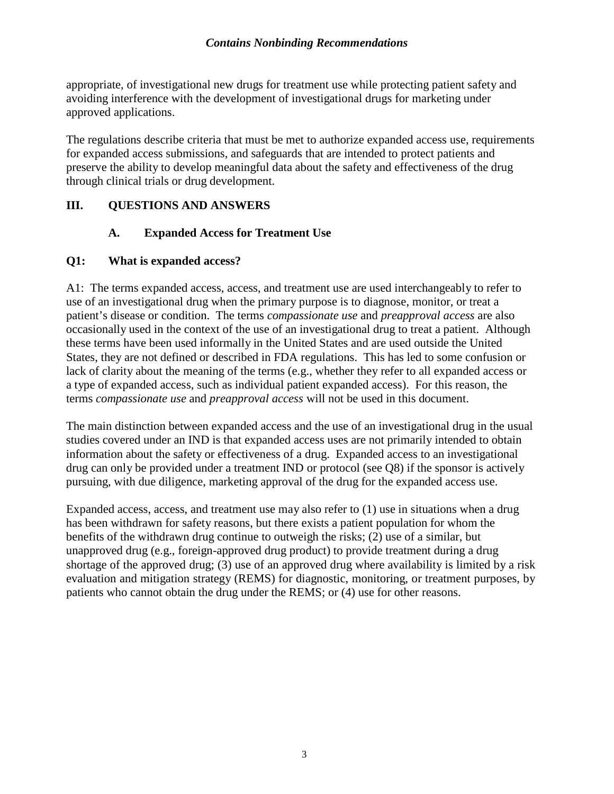appropriate, of investigational new drugs for treatment use while protecting patient safety and avoiding interference with the development of investigational drugs for marketing under approved applications.

The regulations describe criteria that must be met to authorize expanded access use, requirements for expanded access submissions, and safeguards that are intended to protect patients and preserve the ability to develop meaningful data about the safety and effectiveness of the drug through clinical trials or drug development.

#### **III. QUESTIONS AND ANSWERS**

#### **A. Expanded Access for Treatment Use**

#### **Q1: What is expanded access?**

A1: The terms expanded access, access, and treatment use are used interchangeably to refer to use of an investigational drug when the primary purpose is to diagnose, monitor, or treat a patient's disease or condition. The terms *compassionate use* and *preapproval access* are also occasionally used in the context of the use of an investigational drug to treat a patient. Although these terms have been used informally in the United States and are used outside the United States, they are not defined or described in FDA regulations. This has led to some confusion or lack of clarity about the meaning of the terms (e.g., whether they refer to all expanded access or a type of expanded access, such as individual patient expanded access). For this reason, the terms *compassionate use* and *preapproval access* will not be used in this document.

The main distinction between expanded access and the use of an investigational drug in the usual studies covered under an IND is that expanded access uses are not primarily intended to obtain information about the safety or effectiveness of a drug. Expanded access to an investigational drug can only be provided under a treatment IND or protocol (see Q8) if the sponsor is actively pursuing, with due diligence, marketing approval of the drug for the expanded access use.

Expanded access, access, and treatment use may also refer to (1) use in situations when a drug has been withdrawn for safety reasons, but there exists a patient population for whom the benefits of the withdrawn drug continue to outweigh the risks; (2) use of a similar, but unapproved drug (e.g., foreign-approved drug product) to provide treatment during a drug shortage of the approved drug; (3) use of an approved drug where availability is limited by a risk evaluation and mitigation strategy (REMS) for diagnostic, monitoring, or treatment purposes, by patients who cannot obtain the drug under the REMS; or (4) use for other reasons.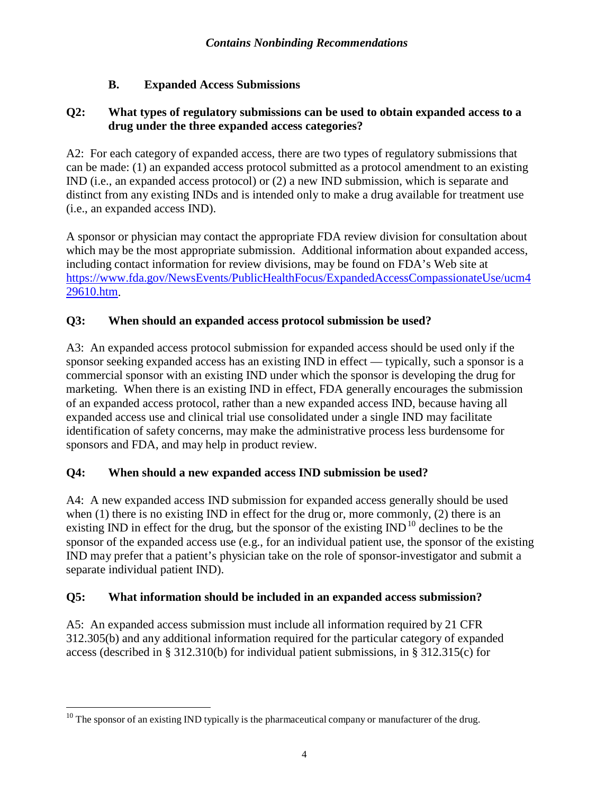#### **B. Expanded Access Submissions**

#### **Q2: What types of regulatory submissions can be used to obtain expanded access to a drug under the three expanded access categories?**

A2: For each category of expanded access, there are two types of regulatory submissions that can be made: (1) an expanded access protocol submitted as a protocol amendment to an existing IND (i.e., an expanded access protocol) or (2) a new IND submission, which is separate and distinct from any existing INDs and is intended only to make a drug available for treatment use (i.e., an expanded access IND).

A sponsor or physician may contact the appropriate FDA review division for consultation about which may be the most appropriate submission. Additional information about expanded access, including contact information for review divisions, may be found on FDA's Web site at [https://www.fda.gov/NewsEvents/PublicHealthFocus/ExpandedAccessCompassionateUse/ucm4](https://www.fda.gov/NewsEvents/PublicHealthFocus/ExpandedAccessCompassionateUse/ucm429610.htm) [29610.htm.](https://www.fda.gov/NewsEvents/PublicHealthFocus/ExpandedAccessCompassionateUse/ucm429610.htm)

#### **Q3: When should an expanded access protocol submission be used?**

A3: An expanded access protocol submission for expanded access should be used only if the sponsor seeking expanded access has an existing IND in effect — typically, such a sponsor is a commercial sponsor with an existing IND under which the sponsor is developing the drug for marketing. When there is an existing IND in effect, FDA generally encourages the submission of an expanded access protocol, rather than a new expanded access IND, because having all expanded access use and clinical trial use consolidated under a single IND may facilitate identification of safety concerns, may make the administrative process less burdensome for sponsors and FDA, and may help in product review.

#### **Q4: When should a new expanded access IND submission be used?**

A4: A new expanded access IND submission for expanded access generally should be used when (1) there is no existing IND in effect for the drug or, more commonly, (2) there is an existing IND in effect for the drug, but the sponsor of the existing  $\text{IND}^{10}$  $\text{IND}^{10}$  $\text{IND}^{10}$  declines to be the sponsor of the expanded access use (e.g., for an individual patient use, the sponsor of the existing IND may prefer that a patient's physician take on the role of sponsor-investigator and submit a separate individual patient IND).

#### **Q5: What information should be included in an expanded access submission?**

A5: An expanded access submission must include all information required by 21 CFR 312.305(b) and any additional information required for the particular category of expanded access (described in § 312.310(b) for individual patient submissions, in § 312.315(c) for

<span id="page-7-0"></span>l  $10$  The sponsor of an existing IND typically is the pharmaceutical company or manufacturer of the drug.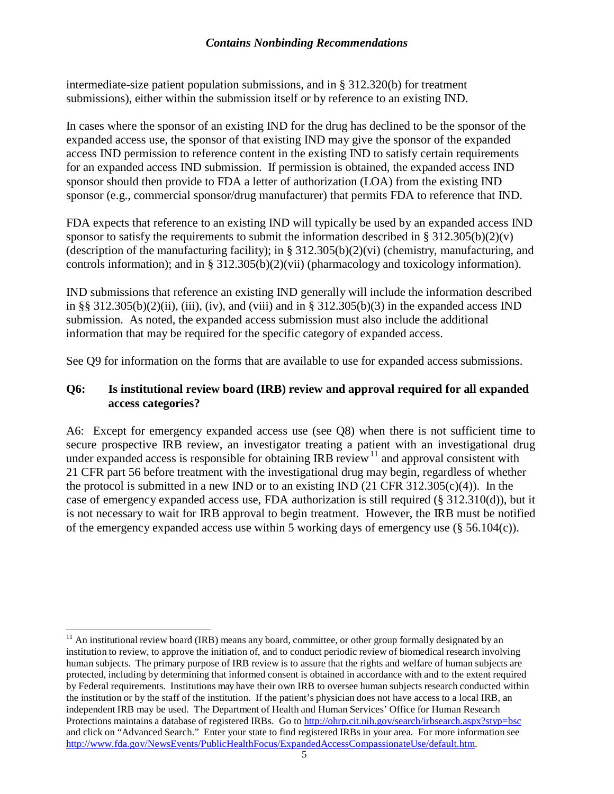intermediate-size patient population submissions, and in § 312.320(b) for treatment submissions), either within the submission itself or by reference to an existing IND.

In cases where the sponsor of an existing IND for the drug has declined to be the sponsor of the expanded access use, the sponsor of that existing IND may give the sponsor of the expanded access IND permission to reference content in the existing IND to satisfy certain requirements for an expanded access IND submission. If permission is obtained, the expanded access IND sponsor should then provide to FDA a letter of authorization (LOA) from the existing IND sponsor (e.g., commercial sponsor/drug manufacturer) that permits FDA to reference that IND.

FDA expects that reference to an existing IND will typically be used by an expanded access IND sponsor to satisfy the requirements to submit the information described in §  $312.305(b)(2)(v)$ (description of the manufacturing facility); in § 312.305(b)(2)(vi) (chemistry, manufacturing, and controls information); and in § 312.305(b)(2)(vii) (pharmacology and toxicology information).

IND submissions that reference an existing IND generally will include the information described in §§ 312.305(b)(2)(ii), (iii), (iv), and (viii) and in § 312.305(b)(3) in the expanded access IND submission. As noted, the expanded access submission must also include the additional information that may be required for the specific category of expanded access.

See Q9 for information on the forms that are available to use for expanded access submissions.

#### **Q6: Is institutional review board (IRB) review and approval required for all expanded access categories?**

A6: Except for emergency expanded access use (see Q8) when there is not sufficient time to secure prospective IRB review, an investigator treating a patient with an investigational drug under expanded access is responsible for obtaining IRB review<sup>[11](#page-8-0)</sup> and approval consistent with 21 CFR part 56 before treatment with the investigational drug may begin, regardless of whether the protocol is submitted in a new IND or to an existing IND  $(21 \text{ CFR } 312.305(c)(4))$ . In the case of emergency expanded access use, FDA authorization is still required  $(\S 312.310(d))$ , but it is not necessary to wait for IRB approval to begin treatment. However, the IRB must be notified of the emergency expanded access use within 5 working days of emergency use (§ 56.104(c)).

<span id="page-8-0"></span> $11$  An institutional review board (IRB) means any board, committee, or other group formally designated by an institution to review, to approve the initiation of, and to conduct periodic review of biomedical research involving human subjects. The primary purpose of IRB review is to assure that the rights and welfare of human subjects are protected, including by determining that informed consent is obtained in accordance with and to the extent required by Federal requirements. Institutions may have their own IRB to oversee human subjects research conducted within the institution or by the staff of the institution. If the patient's physician does not have access to a local IRB, an independent IRB may be used. The Department of Health and Human Services' Office for Human Research Protections maintains a database of registered IRBs. Go to <http://ohrp.cit.nih.gov/search/irbsearch.aspx?styp=bsc> and click on "Advanced Search." Enter your state to find registered IRBs in your area. For more information see [http://www.fda.gov/NewsEvents/PublicHealthFocus/ExpandedAccessCompassionateUse/default.htm.](http://www.fda.gov/NewsEvents/PublicHealthFocus/ExpandedAccessCompassionateUse/default.htm)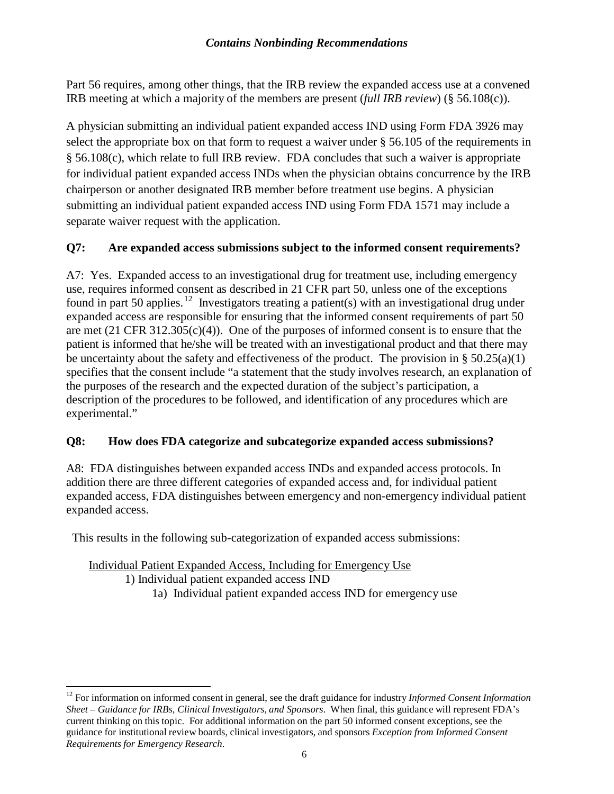Part 56 requires, among other things, that the IRB review the expanded access use at a convened IRB meeting at which a majority of the members are present (*full IRB review*) (§ 56.108(c)).

A physician submitting an individual patient expanded access IND using Form FDA 3926 may select the appropriate box on that form to request a waiver under § 56.105 of the requirements in § 56.108(c), which relate to full IRB review. FDA concludes that such a waiver is appropriate for individual patient expanded access INDs when the physician obtains concurrence by the IRB chairperson or another designated IRB member before treatment use begins. A physician submitting an individual patient expanded access IND using Form FDA 1571 may include a separate waiver request with the application.

#### **Q7: Are expanded access submissions subject to the informed consent requirements?**

A7: Yes. Expanded access to an investigational drug for treatment use, including emergency use, requires informed consent as described in 21 CFR part 50, unless one of the exceptions found in part 50 applies.<sup>[12](#page-9-0)</sup> Investigators treating a patient(s) with an investigational drug under expanded access are responsible for ensuring that the informed consent requirements of part 50 are met  $(21 \text{ CFR } 312.305(c)(4))$ . One of the purposes of informed consent is to ensure that the patient is informed that he/she will be treated with an investigational product and that there may be uncertainty about the safety and effectiveness of the product. The provision in  $\S 50.25(a)(1)$ specifies that the consent include "a statement that the study involves research, an explanation of the purposes of the research and the expected duration of the subject's participation, a description of the procedures to be followed, and identification of any procedures which are experimental."

#### **Q8: How does FDA categorize and subcategorize expanded access submissions?**

A8: FDA distinguishes between expanded access INDs and expanded access protocols. In addition there are three different categories of expanded access and, for individual patient expanded access, FDA distinguishes between emergency and non-emergency individual patient expanded access.

This results in the following sub-categorization of expanded access submissions:

Individual Patient Expanded Access, Including for Emergency Use 1) Individual patient expanded access IND

1a) Individual patient expanded access IND for emergency use

<span id="page-9-0"></span><sup>12</sup> For information on informed consent in general, see the draft guidance for industry *Informed Consent Information Sheet – Guidance for IRBs, Clinical Investigators, and Sponsors*. When final, this guidance will represent FDA's current thinking on this topic. For additional information on the part 50 informed consent exceptions, see the guidance for institutional review boards, clinical investigators, and sponsors *Exception from Informed Consent Requirements for Emergency Research*.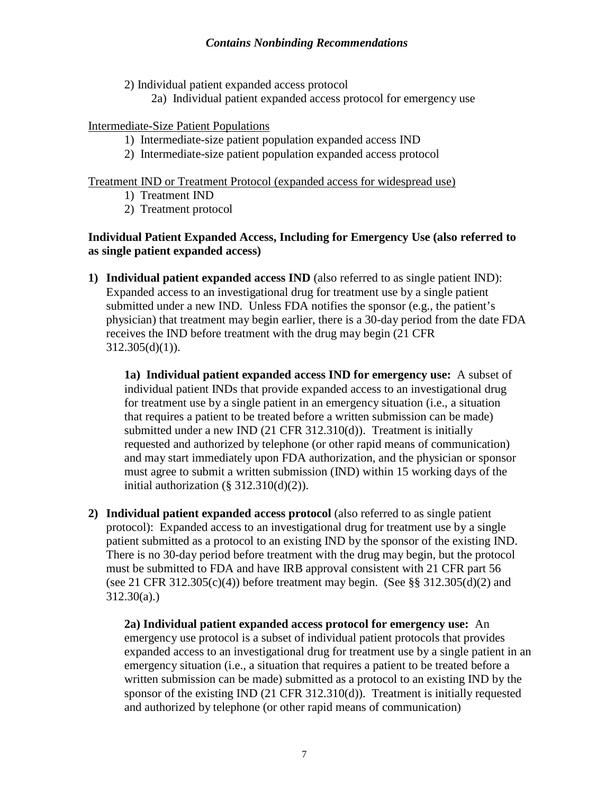2) Individual patient expanded access protocol

2a) Individual patient expanded access protocol for emergency use

#### Intermediate-Size Patient Populations

- 1) Intermediate-size patient population expanded access IND
- 2) Intermediate-size patient population expanded access protocol

#### Treatment IND or Treatment Protocol (expanded access for widespread use)

- 1) Treatment IND
- 2) Treatment protocol

#### **Individual Patient Expanded Access, Including for Emergency Use (also referred to as single patient expanded access)**

**1) Individual patient expanded access IND** (also referred to as single patient IND): Expanded access to an investigational drug for treatment use by a single patient submitted under a new IND. Unless FDA notifies the sponsor (e.g., the patient's physician) that treatment may begin earlier, there is a 30-day period from the date FDA receives the IND before treatment with the drug may begin (21 CFR  $312.305(d)(1)$ ).

**1a) Individual patient expanded access IND for emergency use:** A subset of individual patient INDs that provide expanded access to an investigational drug for treatment use by a single patient in an emergency situation (i.e., a situation that requires a patient to be treated before a written submission can be made) submitted under a new IND (21 CFR 312.310(d)). Treatment is initially requested and authorized by telephone (or other rapid means of communication) and may start immediately upon FDA authorization, and the physician or sponsor must agree to submit a written submission (IND) within 15 working days of the initial authorization  $(\S 312.310(d)(2))$ .

**2) Individual patient expanded access protocol** (also referred to as single patient protocol): Expanded access to an investigational drug for treatment use by a single patient submitted as a protocol to an existing IND by the sponsor of the existing IND. There is no 30-day period before treatment with the drug may begin, but the protocol must be submitted to FDA and have IRB approval consistent with 21 CFR part 56 (see 21 CFR 312.305(c)(4)) before treatment may begin. (See  $\S$ § 312.305(d)(2) and  $312.30(a)$ .)

**2a) Individual patient expanded access protocol for emergency use:** An emergency use protocol is a subset of individual patient protocols that provides expanded access to an investigational drug for treatment use by a single patient in an emergency situation (i.e., a situation that requires a patient to be treated before a written submission can be made) submitted as a protocol to an existing IND by the sponsor of the existing IND (21 CFR 312.310(d)). Treatment is initially requested and authorized by telephone (or other rapid means of communication)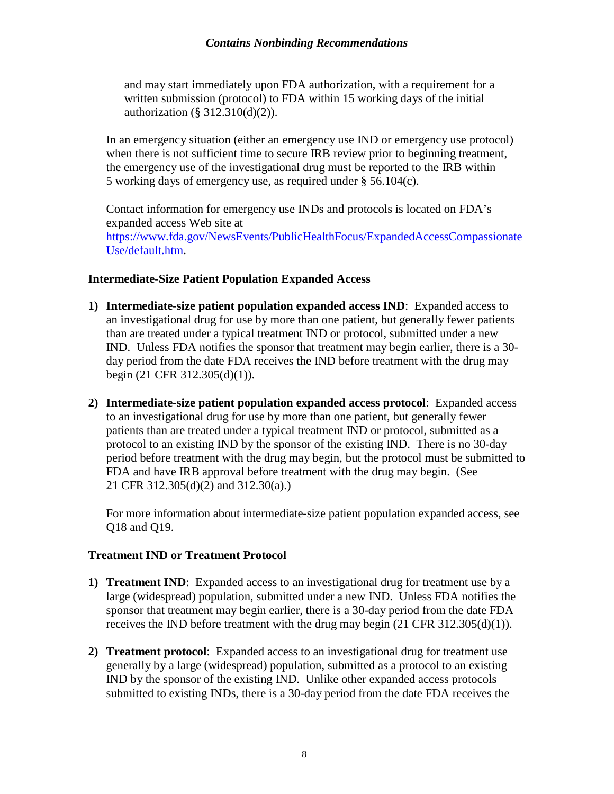and may start immediately upon FDA authorization, with a requirement for a written submission (protocol) to FDA within 15 working days of the initial authorization (§ 312.310(d)(2)).

In an emergency situation (either an emergency use IND or emergency use protocol) when there is not sufficient time to secure IRB review prior to beginning treatment, the emergency use of the investigational drug must be reported to the IRB within 5 working days of emergency use, as required under § 56.104(c).

Contact information for emergency use INDs and protocols is located on FDA's expanded access Web site at <https://www.fda.gov/NewsEvents/PublicHealthFocus/ExpandedAccessCompassionate> [Use/default.htm.](http://www.fda.gov/NewsEvents/PublicHealthFocus/ExpandedAccessCompassionateUse/default.htm)

#### **Intermediate-Size Patient Population Expanded Access**

- **1) Intermediate-size patient population expanded access IND**: Expanded access to an investigational drug for use by more than one patient, but generally fewer patients than are treated under a typical treatment IND or protocol, submitted under a new IND. Unless FDA notifies the sponsor that treatment may begin earlier, there is a 30 day period from the date FDA receives the IND before treatment with the drug may begin (21 CFR 312.305(d)(1)).
- **2) Intermediate-size patient population expanded access protocol**: Expanded access to an investigational drug for use by more than one patient, but generally fewer patients than are treated under a typical treatment IND or protocol, submitted as a protocol to an existing IND by the sponsor of the existing IND. There is no 30-day period before treatment with the drug may begin, but the protocol must be submitted to FDA and have IRB approval before treatment with the drug may begin. (See 21 CFR 312.305(d)(2) and 312.30(a).)

For more information about intermediate-size patient population expanded access, see Q18 and Q19.

#### **Treatment IND or Treatment Protocol**

- **1) Treatment IND**: Expanded access to an investigational drug for treatment use by a large (widespread) population, submitted under a new IND. Unless FDA notifies the sponsor that treatment may begin earlier, there is a 30-day period from the date FDA receives the IND before treatment with the drug may begin  $(21 \text{ CFR } 312.305(d)(1))$ .
- **2) Treatment protocol**: Expanded access to an investigational drug for treatment use generally by a large (widespread) population, submitted as a protocol to an existing IND by the sponsor of the existing IND. Unlike other expanded access protocols submitted to existing INDs, there is a 30-day period from the date FDA receives the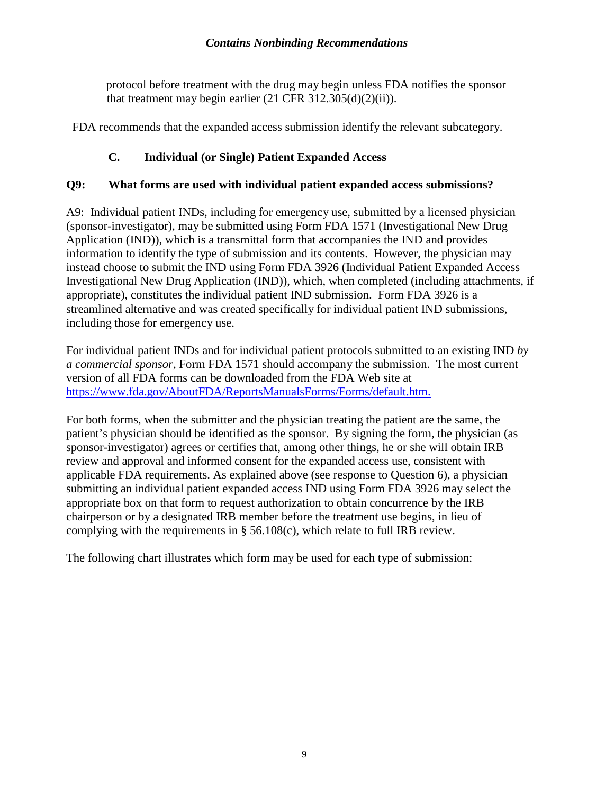protocol before treatment with the drug may begin unless FDA notifies the sponsor that treatment may begin earlier (21 CFR 312.305(d)(2)(ii)).

FDA recommends that the expanded access submission identify the relevant subcategory.

#### **C. Individual (or Single) Patient Expanded Access**

#### **Q9: What forms are used with individual patient expanded access submissions?**

A9: Individual patient INDs, including for emergency use, submitted by a licensed physician (sponsor-investigator), may be submitted using Form FDA 1571 (Investigational New Drug Application (IND)), which is a transmittal form that accompanies the IND and provides information to identify the type of submission and its contents. However, the physician may instead choose to submit the IND using Form FDA 3926 (Individual Patient Expanded Access Investigational New Drug Application (IND)), which, when completed (including attachments, if appropriate), constitutes the individual patient IND submission. Form FDA 3926 is a streamlined alternative and was created specifically for individual patient IND submissions, including those for emergency use.

For individual patient INDs and for individual patient protocols submitted to an existing IND *by a commercial sponsor*, Form FDA 1571 should accompany the submission. The most current version of all FDA forms can be downloaded from the FDA Web site at <https://www.fda.gov/AboutFDA/ReportsManualsForms/Forms/default.htm.>

For both forms, when the submitter and the physician treating the patient are the same, the patient's physician should be identified as the sponsor. By signing the form, the physician (as sponsor-investigator) agrees or certifies that, among other things, he or she will obtain IRB review and approval and informed consent for the expanded access use, consistent with applicable FDA requirements. As explained above (see response to Question 6), a physician submitting an individual patient expanded access IND using Form FDA 3926 may select the appropriate box on that form to request authorization to obtain concurrence by the IRB chairperson or by a designated IRB member before the treatment use begins, in lieu of complying with the requirements in § 56.108(c), which relate to full IRB review.

The following chart illustrates which form may be used for each type of submission: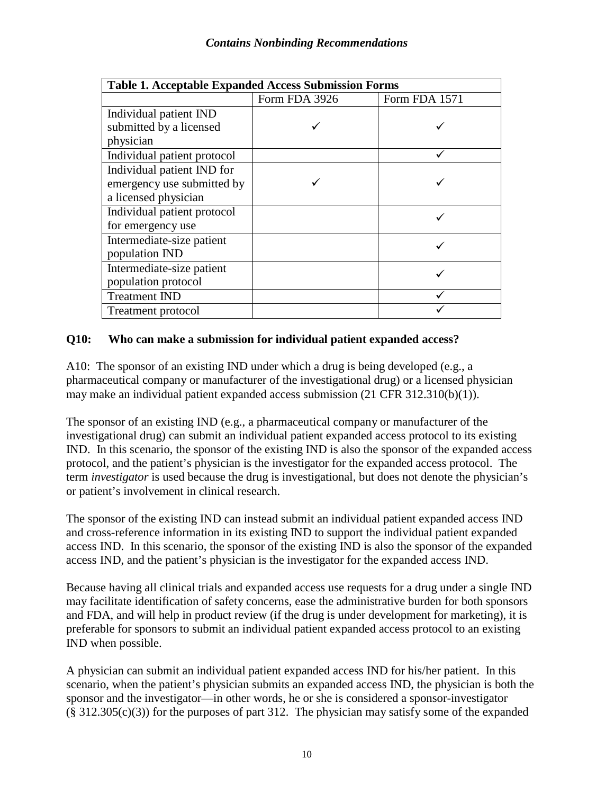| <b>Table 1. Acceptable Expanded Access Submission Forms</b> |               |               |  |  |  |
|-------------------------------------------------------------|---------------|---------------|--|--|--|
|                                                             | Form FDA 3926 | Form FDA 1571 |  |  |  |
| Individual patient IND                                      |               |               |  |  |  |
| submitted by a licensed                                     |               |               |  |  |  |
| physician                                                   |               |               |  |  |  |
| Individual patient protocol                                 |               |               |  |  |  |
| Individual patient IND for                                  |               |               |  |  |  |
| emergency use submitted by                                  |               |               |  |  |  |
| a licensed physician                                        |               |               |  |  |  |
| Individual patient protocol                                 |               |               |  |  |  |
| for emergency use                                           |               |               |  |  |  |
| Intermediate-size patient                                   |               |               |  |  |  |
| population IND                                              |               |               |  |  |  |
| Intermediate-size patient                                   |               |               |  |  |  |
| population protocol                                         |               |               |  |  |  |
| <b>Treatment IND</b>                                        |               |               |  |  |  |
| <b>Treatment protocol</b>                                   |               |               |  |  |  |

#### **Q10: Who can make a submission for individual patient expanded access?**

A10: The sponsor of an existing IND under which a drug is being developed (e.g., a pharmaceutical company or manufacturer of the investigational drug) or a licensed physician may make an individual patient expanded access submission (21 CFR 312.310(b)(1)).

The sponsor of an existing IND (e.g., a pharmaceutical company or manufacturer of the investigational drug) can submit an individual patient expanded access protocol to its existing IND. In this scenario, the sponsor of the existing IND is also the sponsor of the expanded access protocol, and the patient's physician is the investigator for the expanded access protocol. The term *investigator* is used because the drug is investigational, but does not denote the physician's or patient's involvement in clinical research.

The sponsor of the existing IND can instead submit an individual patient expanded access IND and cross-reference information in its existing IND to support the individual patient expanded access IND. In this scenario, the sponsor of the existing IND is also the sponsor of the expanded access IND, and the patient's physician is the investigator for the expanded access IND.

Because having all clinical trials and expanded access use requests for a drug under a single IND may facilitate identification of safety concerns, ease the administrative burden for both sponsors and FDA, and will help in product review (if the drug is under development for marketing), it is preferable for sponsors to submit an individual patient expanded access protocol to an existing IND when possible.

A physician can submit an individual patient expanded access IND for his/her patient. In this scenario, when the patient's physician submits an expanded access IND, the physician is both the sponsor and the investigator—in other words, he or she is considered a sponsor-investigator  $(\S 312.305(c)(3))$  for the purposes of part 312. The physician may satisfy some of the expanded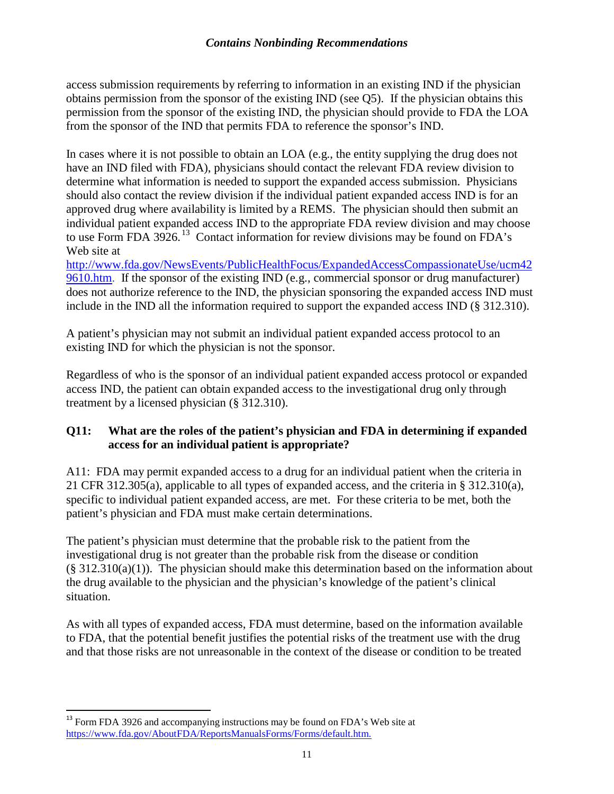access submission requirements by referring to information in an existing IND if the physician obtains permission from the sponsor of the existing IND (see Q5). If the physician obtains this permission from the sponsor of the existing IND, the physician should provide to FDA the LOA from the sponsor of the IND that permits FDA to reference the sponsor's IND.

In cases where it is not possible to obtain an LOA (e.g., the entity supplying the drug does not have an IND filed with FDA), physicians should contact the relevant FDA review division to determine what information is needed to support the expanded access submission. Physicians should also contact the review division if the individual patient expanded access IND is for an approved drug where availability is limited by a REMS. The physician should then submit an individual patient expanded access IND to the appropriate FDA review division and may choose to use Form FDA 3926. [13](#page-14-0) Contact information for review divisions may be found on FDA's Web site at

[http://www.fda.gov/NewsEvents/PublicHealthFocus/ExpandedAccessCompassionateUse/ucm42](http://www.fda.gov/NewsEvents/PublicHealthFocus/ExpandedAccessCompassionateUse/ucm429610.htm) [9610.htm.](http://www.fda.gov/NewsEvents/PublicHealthFocus/ExpandedAccessCompassionateUse/ucm429610.htm) If the sponsor of the existing IND (e.g., commercial sponsor or drug manufacturer) does not authorize reference to the IND, the physician sponsoring the expanded access IND must include in the IND all the information required to support the expanded access IND (§ 312.310).

A patient's physician may not submit an individual patient expanded access protocol to an existing IND for which the physician is not the sponsor.

Regardless of who is the sponsor of an individual patient expanded access protocol or expanded access IND, the patient can obtain expanded access to the investigational drug only through treatment by a licensed physician (§ 312.310).

#### **Q11: What are the roles of the patient's physician and FDA in determining if expanded access for an individual patient is appropriate?**

A11: FDA may permit expanded access to a drug for an individual patient when the criteria in 21 CFR 312.305(a), applicable to all types of expanded access, and the criteria in § 312.310(a), specific to individual patient expanded access, are met. For these criteria to be met, both the patient's physician and FDA must make certain determinations.

The patient's physician must determine that the probable risk to the patient from the investigational drug is not greater than the probable risk from the disease or condition  $(\S 312.310(a)(1))$ . The physician should make this determination based on the information about the drug available to the physician and the physician's knowledge of the patient's clinical situation.

As with all types of expanded access, FDA must determine, based on the information available to FDA, that the potential benefit justifies the potential risks of the treatment use with the drug and that those risks are not unreasonable in the context of the disease or condition to be treated

<span id="page-14-0"></span> $13$  Form FDA 3926 and accompanying instructions may be found on FDA's Web site at <https://www.fda.gov/AboutFDA/ReportsManualsForms/Forms/default.htm.>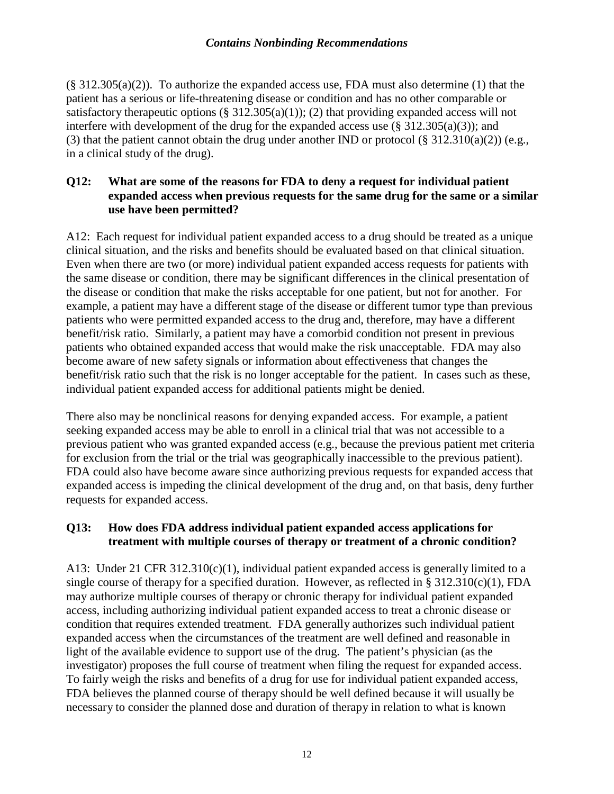$(\S$  312.305(a)(2)). To authorize the expanded access use, FDA must also determine (1) that the patient has a serious or life-threatening disease or condition and has no other comparable or satisfactory therapeutic options  $(\S 312.305(a)(1))$ ; (2) that providing expanded access will not interfere with development of the drug for the expanded access use  $(\S 312.305(a)(3))$ ; and (3) that the patient cannot obtain the drug under another IND or protocol (§ 312.310(a)(2)) (e.g., in a clinical study of the drug).

#### **Q12: What are some of the reasons for FDA to deny a request for individual patient expanded access when previous requests for the same drug for the same or a similar use have been permitted?**

A12: Each request for individual patient expanded access to a drug should be treated as a unique clinical situation, and the risks and benefits should be evaluated based on that clinical situation. Even when there are two (or more) individual patient expanded access requests for patients with the same disease or condition, there may be significant differences in the clinical presentation of the disease or condition that make the risks acceptable for one patient, but not for another. For example, a patient may have a different stage of the disease or different tumor type than previous patients who were permitted expanded access to the drug and, therefore, may have a different benefit/risk ratio. Similarly, a patient may have a comorbid condition not present in previous patients who obtained expanded access that would make the risk unacceptable. FDA may also become aware of new safety signals or information about effectiveness that changes the benefit/risk ratio such that the risk is no longer acceptable for the patient. In cases such as these, individual patient expanded access for additional patients might be denied.

There also may be nonclinical reasons for denying expanded access. For example, a patient seeking expanded access may be able to enroll in a clinical trial that was not accessible to a previous patient who was granted expanded access (e.g., because the previous patient met criteria for exclusion from the trial or the trial was geographically inaccessible to the previous patient). FDA could also have become aware since authorizing previous requests for expanded access that expanded access is impeding the clinical development of the drug and, on that basis, deny further requests for expanded access.

#### **Q13: How does FDA address individual patient expanded access applications for treatment with multiple courses of therapy or treatment of a chronic condition?**

A13: Under 21 CFR  $312.310(c)(1)$ , individual patient expanded access is generally limited to a single course of therapy for a specified duration. However, as reflected in §  $312.310(c)(1)$ , FDA may authorize multiple courses of therapy or chronic therapy for individual patient expanded access, including authorizing individual patient expanded access to treat a chronic disease or condition that requires extended treatment. FDA generally authorizes such individual patient expanded access when the circumstances of the treatment are well defined and reasonable in light of the available evidence to support use of the drug. The patient's physician (as the investigator) proposes the full course of treatment when filing the request for expanded access. To fairly weigh the risks and benefits of a drug for use for individual patient expanded access, FDA believes the planned course of therapy should be well defined because it will usually be necessary to consider the planned dose and duration of therapy in relation to what is known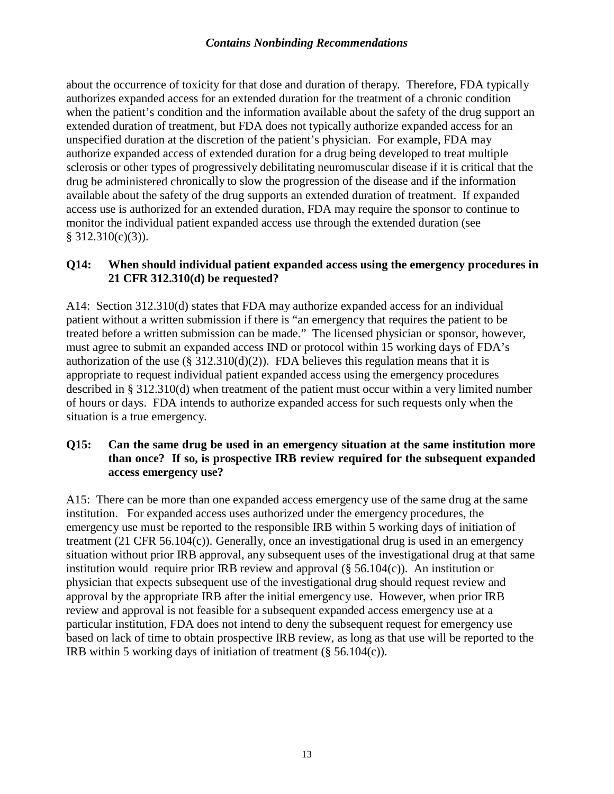about the occurrence of toxicity for that dose and duration of therapy. Therefore, FDA typically authorizes expanded access for an extended duration for the treatment of a chronic condition when the patient's condition and the information available about the safety of the drug support an extended duration of treatment, but FDA does not typically authorize expanded access for an unspecified duration at the discretion of the patient's physician. For example, FDA may authorize expanded access of extended duration for a drug being developed to treat multiple sclerosis or other types of progressively debilitating neuromuscular disease if it is critical that the drug be administered chronically to slow the progression of the disease and if the information available about the safety of the drug supports an extended duration of treatment. If expanded access use is authorized for an extended duration, FDA may require the sponsor to continue to monitor the individual patient expanded access use through the extended duration (see  $§ 312.310(c)(3)$ ).

#### **Q14: When should individual patient expanded access using the emergency procedures in 21 CFR 312.310(d) be requested?**

A14: Section 312.310(d) states that FDA may authorize expanded access for an individual patient without a written submission if there is "an emergency that requires the patient to be treated before a written submission can be made." The licensed physician or sponsor, however, must agree to submit an expanded access IND or protocol within 15 working days of FDA's authorization of the use  $(\S 312.310(d)(2))$ . FDA believes this regulation means that it is appropriate to request individual patient expanded access using the emergency procedures described in § 312.310(d) when treatment of the patient must occur within a very limited number of hours or days. FDA intends to authorize expanded access for such requests only when the situation is a true emergency.

#### **Q15: Can the same drug be used in an emergency situation at the same institution more than once? If so, is prospective IRB review required for the subsequent expanded access emergency use?**

A15: There can be more than one expanded access emergency use of the same drug at the same institution. For expanded access uses authorized under the emergency procedures, the emergency use must be reported to the responsible IRB within 5 working days of initiation of treatment (21 CFR 56.104(c)). Generally, once an investigational drug is used in an emergency situation without prior IRB approval, any subsequent uses of the investigational drug at that same institution would require prior IRB review and approval  $(\S 56.104(c))$ . An institution or physician that expects subsequent use of the investigational drug should request review and approval by the appropriate IRB after the initial emergency use. However, when prior IRB review and approval is not feasible for a subsequent expanded access emergency use at a particular institution, FDA does not intend to deny the subsequent request for emergency use based on lack of time to obtain prospective IRB review, as long as that use will be reported to the IRB within 5 working days of initiation of treatment  $(\S 56.104(c))$ .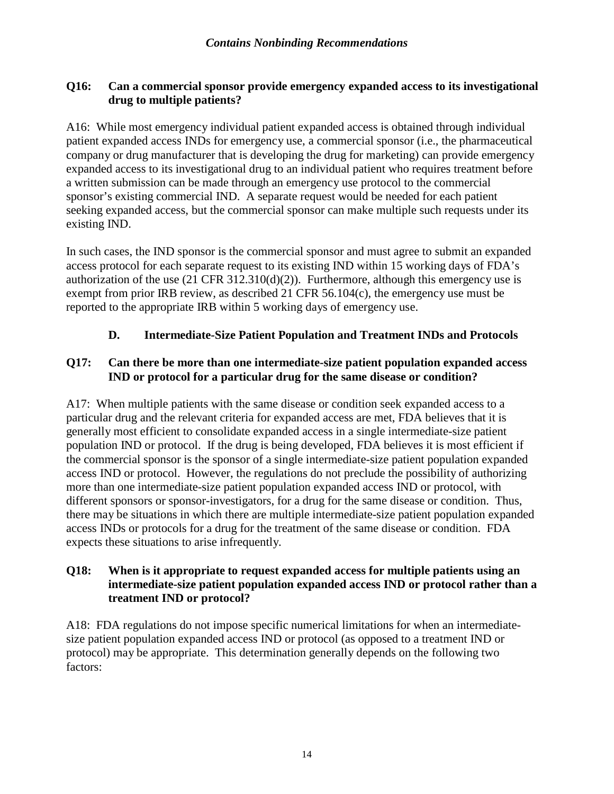#### **Q16: Can a commercial sponsor provide emergency expanded access to its investigational drug to multiple patients?**

A16: While most emergency individual patient expanded access is obtained through individual patient expanded access INDs for emergency use, a commercial sponsor (i.e., the pharmaceutical company or drug manufacturer that is developing the drug for marketing) can provide emergency expanded access to its investigational drug to an individual patient who requires treatment before a written submission can be made through an emergency use protocol to the commercial sponsor's existing commercial IND. A separate request would be needed for each patient seeking expanded access, but the commercial sponsor can make multiple such requests under its existing IND.

In such cases, the IND sponsor is the commercial sponsor and must agree to submit an expanded access protocol for each separate request to its existing IND within 15 working days of FDA's authorization of the use  $(21 \text{ CFR } 312.310(d)(2))$ . Furthermore, although this emergency use is exempt from prior IRB review, as described 21 CFR 56.104(c), the emergency use must be reported to the appropriate IRB within 5 working days of emergency use.

#### **D. Intermediate-Size Patient Population and Treatment INDs and Protocols**

#### **Q17: Can there be more than one intermediate-size patient population expanded access IND or protocol for a particular drug for the same disease or condition?**

A17: When multiple patients with the same disease or condition seek expanded access to a particular drug and the relevant criteria for expanded access are met, FDA believes that it is generally most efficient to consolidate expanded access in a single intermediate-size patient population IND or protocol. If the drug is being developed, FDA believes it is most efficient if the commercial sponsor is the sponsor of a single intermediate-size patient population expanded access IND or protocol. However, the regulations do not preclude the possibility of authorizing more than one intermediate-size patient population expanded access IND or protocol, with different sponsors or sponsor-investigators, for a drug for the same disease or condition. Thus, there may be situations in which there are multiple intermediate-size patient population expanded access INDs or protocols for a drug for the treatment of the same disease or condition. FDA expects these situations to arise infrequently.

#### **Q18: When is it appropriate to request expanded access for multiple patients using an intermediate-size patient population expanded access IND or protocol rather than a treatment IND or protocol?**

A18: FDA regulations do not impose specific numerical limitations for when an intermediatesize patient population expanded access IND or protocol (as opposed to a treatment IND or protocol) may be appropriate. This determination generally depends on the following two factors: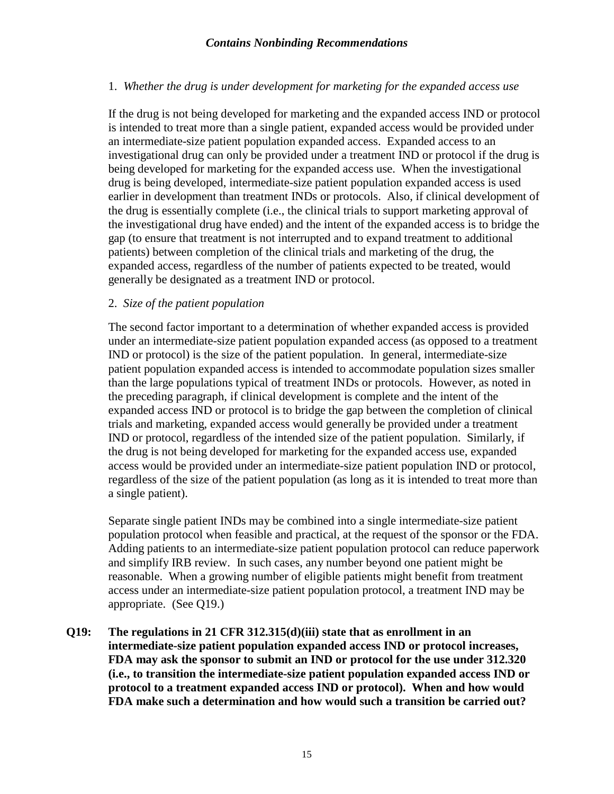#### 1. *Whether the drug is under development for marketing for the expanded access use*

If the drug is not being developed for marketing and the expanded access IND or protocol is intended to treat more than a single patient, expanded access would be provided under an intermediate-size patient population expanded access. Expanded access to an investigational drug can only be provided under a treatment IND or protocol if the drug is being developed for marketing for the expanded access use. When the investigational drug is being developed, intermediate-size patient population expanded access is used earlier in development than treatment INDs or protocols. Also, if clinical development of the drug is essentially complete (i.e., the clinical trials to support marketing approval of the investigational drug have ended) and the intent of the expanded access is to bridge the gap (to ensure that treatment is not interrupted and to expand treatment to additional patients) between completion of the clinical trials and marketing of the drug, the expanded access, regardless of the number of patients expected to be treated, would generally be designated as a treatment IND or protocol.

#### 2. *Size of the patient population*

The second factor important to a determination of whether expanded access is provided under an intermediate-size patient population expanded access (as opposed to a treatment IND or protocol) is the size of the patient population. In general, intermediate-size patient population expanded access is intended to accommodate population sizes smaller than the large populations typical of treatment INDs or protocols. However, as noted in the preceding paragraph, if clinical development is complete and the intent of the expanded access IND or protocol is to bridge the gap between the completion of clinical trials and marketing, expanded access would generally be provided under a treatment IND or protocol, regardless of the intended size of the patient population. Similarly, if the drug is not being developed for marketing for the expanded access use, expanded access would be provided under an intermediate-size patient population IND or protocol, regardless of the size of the patient population (as long as it is intended to treat more than a single patient).

Separate single patient INDs may be combined into a single intermediate-size patient population protocol when feasible and practical, at the request of the sponsor or the FDA. Adding patients to an intermediate-size patient population protocol can reduce paperwork and simplify IRB review. In such cases, any number beyond one patient might be reasonable. When a growing number of eligible patients might benefit from treatment access under an intermediate-size patient population protocol, a treatment IND may be appropriate. (See Q19.)

**Q19: The regulations in 21 CFR 312.315(d)(iii) state that as enrollment in an intermediate-size patient population expanded access IND or protocol increases, FDA may ask the sponsor to submit an IND or protocol for the use under 312.320 (i.e., to transition the intermediate-size patient population expanded access IND or protocol to a treatment expanded access IND or protocol). When and how would FDA make such a determination and how would such a transition be carried out?**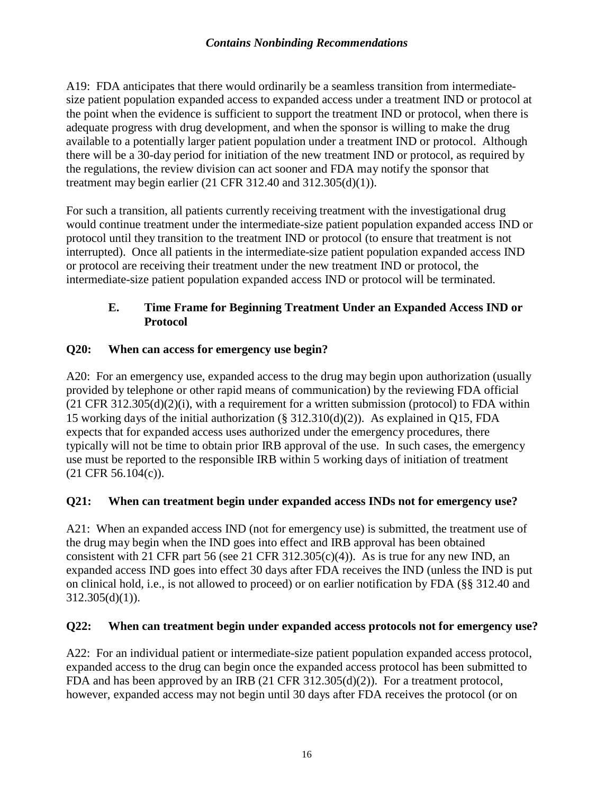A19: FDA anticipates that there would ordinarily be a seamless transition from intermediatesize patient population expanded access to expanded access under a treatment IND or protocol at the point when the evidence is sufficient to support the treatment IND or protocol, when there is adequate progress with drug development, and when the sponsor is willing to make the drug available to a potentially larger patient population under a treatment IND or protocol. Although there will be a 30-day period for initiation of the new treatment IND or protocol, as required by the regulations, the review division can act sooner and FDA may notify the sponsor that treatment may begin earlier (21 CFR 312.40 and 312.305(d)(1)).

For such a transition, all patients currently receiving treatment with the investigational drug would continue treatment under the intermediate-size patient population expanded access IND or protocol until they transition to the treatment IND or protocol (to ensure that treatment is not interrupted). Once all patients in the intermediate-size patient population expanded access IND or protocol are receiving their treatment under the new treatment IND or protocol, the intermediate-size patient population expanded access IND or protocol will be terminated.

#### **E. Time Frame for Beginning Treatment Under an Expanded Access IND or Protocol**

#### **Q20: When can access for emergency use begin?**

A20: For an emergency use, expanded access to the drug may begin upon authorization (usually provided by telephone or other rapid means of communication) by the reviewing FDA official  $(21 \text{ CFR } 312.305(d)(2)(i))$ , with a requirement for a written submission (protocol) to FDA within 15 working days of the initial authorization (§ 312.310(d)(2)). As explained in Q15, FDA expects that for expanded access uses authorized under the emergency procedures, there typically will not be time to obtain prior IRB approval of the use. In such cases, the emergency use must be reported to the responsible IRB within 5 working days of initiation of treatment (21 CFR 56.104(c)).

#### **Q21: When can treatment begin under expanded access INDs not for emergency use?**

A21: When an expanded access IND (not for emergency use) is submitted, the treatment use of the drug may begin when the IND goes into effect and IRB approval has been obtained consistent with 21 CFR part 56 (see 21 CFR 312.305 $(c)(4)$ ). As is true for any new IND, an expanded access IND goes into effect 30 days after FDA receives the IND (unless the IND is put on clinical hold, i.e., is not allowed to proceed) or on earlier notification by FDA (§§ 312.40 and  $312.305(d)(1)$ ).

#### **Q22: When can treatment begin under expanded access protocols not for emergency use?**

A22: For an individual patient or intermediate-size patient population expanded access protocol, expanded access to the drug can begin once the expanded access protocol has been submitted to FDA and has been approved by an IRB (21 CFR 312.305(d)(2)). For a treatment protocol, however, expanded access may not begin until 30 days after FDA receives the protocol (or on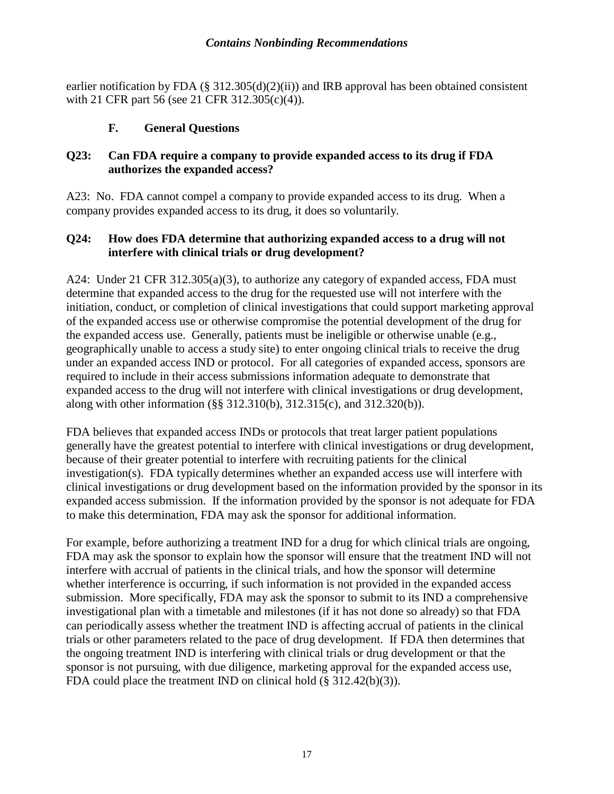earlier notification by FDA (§ 312.305(d)(2)(ii)) and IRB approval has been obtained consistent with 21 CFR part 56 (see 21 CFR 312.305(c)(4)).

#### **F. General Questions**

#### **Q23: Can FDA require a company to provide expanded access to its drug if FDA authorizes the expanded access?**

A23: No. FDA cannot compel a company to provide expanded access to its drug. When a company provides expanded access to its drug, it does so voluntarily.

#### **Q24: How does FDA determine that authorizing expanded access to a drug will not interfere with clinical trials or drug development?**

A24: Under 21 CFR 312.305(a)(3), to authorize any category of expanded access, FDA must determine that expanded access to the drug for the requested use will not interfere with the initiation, conduct, or completion of clinical investigations that could support marketing approval of the expanded access use or otherwise compromise the potential development of the drug for the expanded access use. Generally, patients must be ineligible or otherwise unable (e.g., geographically unable to access a study site) to enter ongoing clinical trials to receive the drug under an expanded access IND or protocol. For all categories of expanded access, sponsors are required to include in their access submissions information adequate to demonstrate that expanded access to the drug will not interfere with clinical investigations or drug development, along with other information (§§ 312.310(b), 312.315(c), and 312.320(b)).

FDA believes that expanded access INDs or protocols that treat larger patient populations generally have the greatest potential to interfere with clinical investigations or drug development, because of their greater potential to interfere with recruiting patients for the clinical investigation(s). FDA typically determines whether an expanded access use will interfere with clinical investigations or drug development based on the information provided by the sponsor in its expanded access submission. If the information provided by the sponsor is not adequate for FDA to make this determination, FDA may ask the sponsor for additional information.

For example, before authorizing a treatment IND for a drug for which clinical trials are ongoing, FDA may ask the sponsor to explain how the sponsor will ensure that the treatment IND will not interfere with accrual of patients in the clinical trials, and how the sponsor will determine whether interference is occurring, if such information is not provided in the expanded access submission. More specifically, FDA may ask the sponsor to submit to its IND a comprehensive investigational plan with a timetable and milestones (if it has not done so already) so that FDA can periodically assess whether the treatment IND is affecting accrual of patients in the clinical trials or other parameters related to the pace of drug development. If FDA then determines that the ongoing treatment IND is interfering with clinical trials or drug development or that the sponsor is not pursuing, with due diligence, marketing approval for the expanded access use, FDA could place the treatment IND on clinical hold (§ 312.42(b)(3)).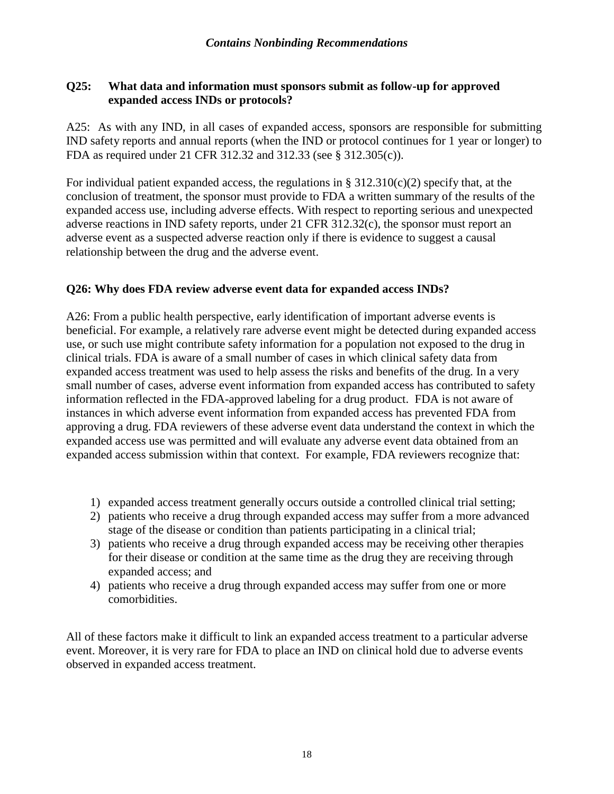#### **Q25: What data and information must sponsors submit as follow-up for approved expanded access INDs or protocols?**

A25: As with any IND, in all cases of expanded access, sponsors are responsible for submitting IND safety reports and annual reports (when the IND or protocol continues for 1 year or longer) to FDA as required under 21 CFR 312.32 and 312.33 (see § 312.305(c)).

For individual patient expanded access, the regulations in  $\S 312.310(c)(2)$  specify that, at the conclusion of treatment, the sponsor must provide to FDA a written summary of the results of the expanded access use, including adverse effects. With respect to reporting serious and unexpected adverse reactions in IND safety reports, under 21 CFR 312.32(c), the sponsor must report an adverse event as a suspected adverse reaction only if there is evidence to suggest a causal relationship between the drug and the adverse event.

#### **Q26: Why does FDA review adverse event data for expanded access INDs?**

A26: From a public health perspective, early identification of important adverse events is beneficial. For example, a relatively rare adverse event might be detected during expanded access use, or such use might contribute safety information for a population not exposed to the drug in clinical trials. FDA is aware of a small number of cases in which clinical safety data from expanded access treatment was used to help assess the risks and benefits of the drug. In a very small number of cases, adverse event information from expanded access has contributed to safety information reflected in the FDA-approved labeling for a drug product. FDA is not aware of instances in which adverse event information from expanded access has prevented FDA from approving a drug. FDA reviewers of these adverse event data understand the context in which the expanded access use was permitted and will evaluate any adverse event data obtained from an expanded access submission within that context. For example, FDA reviewers recognize that:

- 1) expanded access treatment generally occurs outside a controlled clinical trial setting;
- 2) patients who receive a drug through expanded access may suffer from a more advanced stage of the disease or condition than patients participating in a clinical trial;
- 3) patients who receive a drug through expanded access may be receiving other therapies for their disease or condition at the same time as the drug they are receiving through expanded access; and
- 4) patients who receive a drug through expanded access may suffer from one or more comorbidities.

All of these factors make it difficult to link an expanded access treatment to a particular adverse event. Moreover, it is very rare for FDA to place an IND on clinical hold due to adverse events observed in expanded access treatment.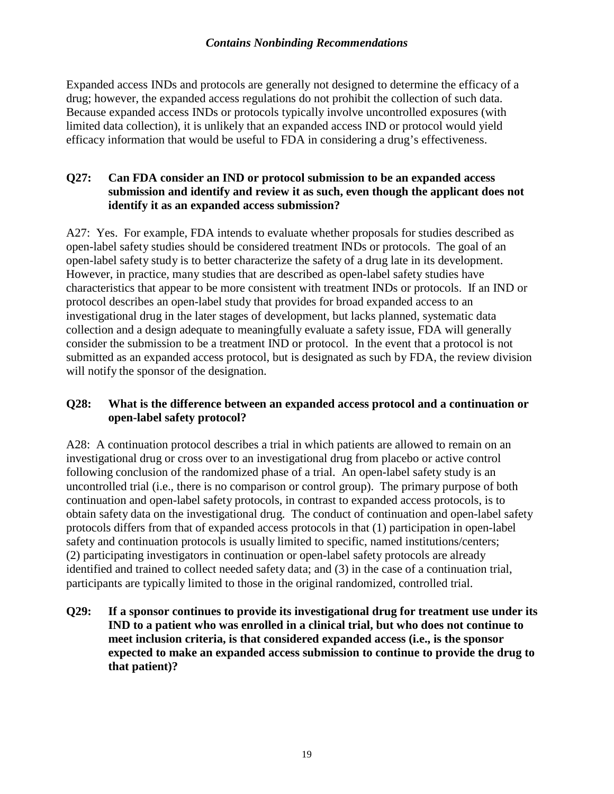Expanded access INDs and protocols are generally not designed to determine the efficacy of a drug; however, the expanded access regulations do not prohibit the collection of such data. Because expanded access INDs or protocols typically involve uncontrolled exposures (with limited data collection), it is unlikely that an expanded access IND or protocol would yield efficacy information that would be useful to FDA in considering a drug's effectiveness.

#### **Q27: Can FDA consider an IND or protocol submission to be an expanded access submission and identify and review it as such, even though the applicant does not identify it as an expanded access submission?**

A27: Yes. For example, FDA intends to evaluate whether proposals for studies described as open-label safety studies should be considered treatment INDs or protocols. The goal of an open-label safety study is to better characterize the safety of a drug late in its development. However, in practice, many studies that are described as open-label safety studies have characteristics that appear to be more consistent with treatment INDs or protocols. If an IND or protocol describes an open-label study that provides for broad expanded access to an investigational drug in the later stages of development, but lacks planned, systematic data collection and a design adequate to meaningfully evaluate a safety issue, FDA will generally consider the submission to be a treatment IND or protocol. In the event that a protocol is not submitted as an expanded access protocol, but is designated as such by FDA, the review division will notify the sponsor of the designation.

#### **Q28: What is the difference between an expanded access protocol and a continuation or open-label safety protocol?**

A28: A continuation protocol describes a trial in which patients are allowed to remain on an investigational drug or cross over to an investigational drug from placebo or active control following conclusion of the randomized phase of a trial. An open-label safety study is an uncontrolled trial (i.e., there is no comparison or control group). The primary purpose of both continuation and open-label safety protocols, in contrast to expanded access protocols, is to obtain safety data on the investigational drug. The conduct of continuation and open-label safety protocols differs from that of expanded access protocols in that (1) participation in open-label safety and continuation protocols is usually limited to specific, named institutions/centers; (2) participating investigators in continuation or open-label safety protocols are already identified and trained to collect needed safety data; and (3) in the case of a continuation trial, participants are typically limited to those in the original randomized, controlled trial.

**Q29: If a sponsor continues to provide its investigational drug for treatment use under its IND to a patient who was enrolled in a clinical trial, but who does not continue to meet inclusion criteria, is that considered expanded access (i.e., is the sponsor expected to make an expanded access submission to continue to provide the drug to that patient)?**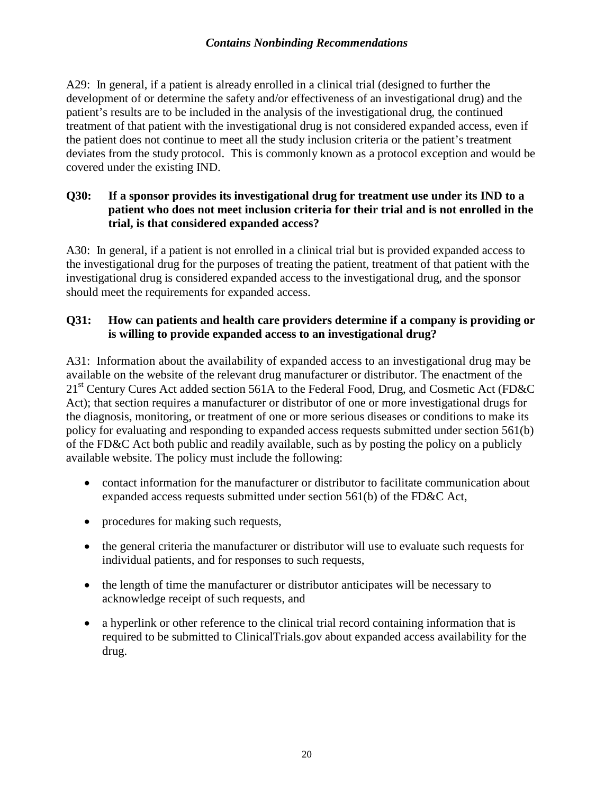A29: In general, if a patient is already enrolled in a clinical trial (designed to further the development of or determine the safety and/or effectiveness of an investigational drug) and the patient's results are to be included in the analysis of the investigational drug, the continued treatment of that patient with the investigational drug is not considered expanded access, even if the patient does not continue to meet all the study inclusion criteria or the patient's treatment deviates from the study protocol. This is commonly known as a protocol exception and would be covered under the existing IND.

#### **Q30: If a sponsor provides its investigational drug for treatment use under its IND to a patient who does not meet inclusion criteria for their trial and is not enrolled in the trial, is that considered expanded access?**

A30: In general, if a patient is not enrolled in a clinical trial but is provided expanded access to the investigational drug for the purposes of treating the patient, treatment of that patient with the investigational drug is considered expanded access to the investigational drug, and the sponsor should meet the requirements for expanded access.

#### **Q31: How can patients and health care providers determine if a company is providing or is willing to provide expanded access to an investigational drug?**

A31: Information about the availability of expanded access to an investigational drug may be available on the website of the relevant drug manufacturer or distributor. The enactment of the 21<sup>st</sup> Century Cures Act added section 561A to the Federal Food, Drug, and Cosmetic Act (FD&C) Act); that section requires a manufacturer or distributor of one or more investigational drugs for the diagnosis, monitoring, or treatment of one or more serious diseases or conditions to make its policy for evaluating and responding to expanded access requests submitted under section 561(b) of the FD&C Act both public and readily available, such as by posting the policy on a publicly available website. The policy must include the following:

- contact information for the manufacturer or distributor to facilitate communication about expanded access requests submitted under section 561(b) of the FD&C Act,
- procedures for making such requests,
- the general criteria the manufacturer or distributor will use to evaluate such requests for individual patients, and for responses to such requests,
- the length of time the manufacturer or distributor anticipates will be necessary to acknowledge receipt of such requests, and
- a hyperlink or other reference to the clinical trial record containing information that is required to be submitted to ClinicalTrials.gov about expanded access availability for the drug.